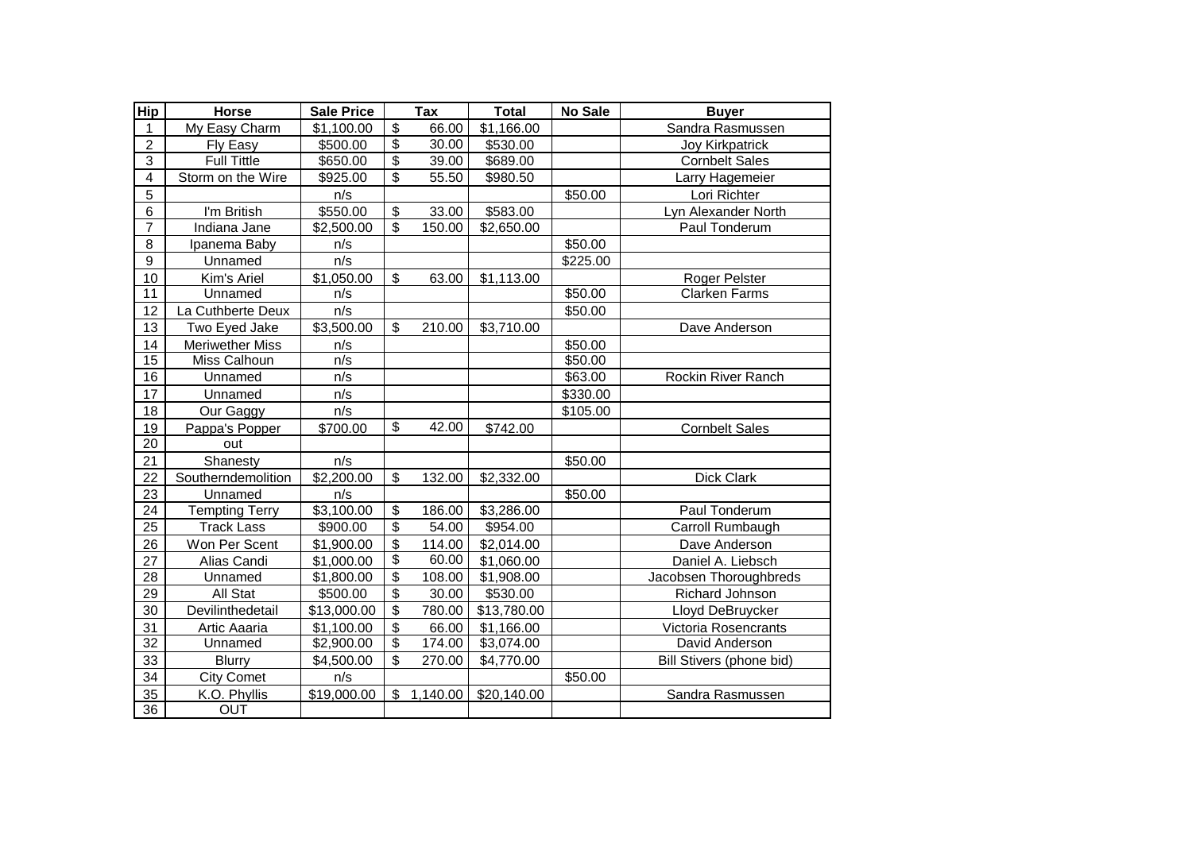| <b>Hip</b>              | Horse                  | <b>Sale Price</b> |                                      | Tax      | <b>Total</b>           | No Sale  | <b>Buyer</b>             |
|-------------------------|------------------------|-------------------|--------------------------------------|----------|------------------------|----------|--------------------------|
| 1                       | My Easy Charm          | \$1,100.00        | \$                                   | 66.00    | \$1,166.00             |          | Sandra Rasmussen         |
| $\overline{2}$          | Fly Easy               | \$500.00          | $\overline{\mathbf{e}}$              | 30.00    | \$530.00               |          | <b>Joy Kirkpatrick</b>   |
| 3                       | <b>Full Tittle</b>     | \$650.00          | $\overline{\boldsymbol{\mathsf{S}}}$ | 39.00    | \$689.00               |          | <b>Cornbelt Sales</b>    |
| $\overline{\mathbf{4}}$ | Storm on the Wire      | \$925.00          | \$                                   | 55.50    | \$980.50               |          | Larry Hagemeier          |
| 5                       |                        | n/s               |                                      |          |                        | \$50.00  | Lori Richter             |
| 6                       | I'm British            | \$550.00          | $\mathfrak{S}$                       | 33.00    | \$583.00               |          | Lyn Alexander North      |
| $\overline{7}$          | Indiana Jane           | \$2,500.00        | $\overline{\mathbf{s}}$              | 150.00   | \$2,650.00             |          | Paul Tonderum            |
| 8                       | Ipanema Baby           | n/s               |                                      |          |                        | \$50.00  |                          |
| 9                       | Unnamed                | n/s               |                                      |          |                        | \$225.00 |                          |
| 10                      | Kim's Ariel            | \$1,050.00        | \$                                   | 63.00    | \$1,113.00             |          | Roger Pelster            |
| 11                      | Unnamed                | n/s               |                                      |          |                        | \$50.00  | <b>Clarken Farms</b>     |
| 12                      | La Cuthberte Deux      | n/s               |                                      |          |                        | \$50.00  |                          |
| 13                      | Two Eyed Jake          | \$3,500.00        | \$                                   | 210.00   | \$3,710.00             |          | Dave Anderson            |
| 14                      | <b>Meriwether Miss</b> | n/s               |                                      |          |                        | \$50.00  |                          |
| 15                      | Miss Calhoun           | n/s               |                                      |          |                        | \$50.00  |                          |
| $\overline{16}$         | Unnamed                | n/s               |                                      |          |                        | \$63.00  | Rockin River Ranch       |
| 17                      | Unnamed                | n/s               |                                      |          |                        | \$330.00 |                          |
| 18                      | Our Gaggy              | n/s               |                                      |          |                        | \$105.00 |                          |
| 19                      | Pappa's Popper         | \$700.00          | \$                                   | 42.00    | \$742.00               |          | <b>Cornbelt Sales</b>    |
| 20                      | out                    |                   |                                      |          |                        |          |                          |
| 21                      | Shanesty               | n/s               |                                      |          |                        | \$50.00  |                          |
| 22                      | Southerndemolition     | \$2,200.00        | \$                                   | 132.00   | \$2,332.00             |          | Dick Clark               |
| 23                      | Unnamed                | n/s               |                                      |          |                        | \$50.00  |                          |
| 24                      | <b>Tempting Terry</b>  | \$3,100.00        | \$                                   | 186.00   | \$3,286.00             |          | Paul Tonderum            |
| 25                      | <b>Track Lass</b>      | \$900.00          | $\overline{\mathcal{S}}$             | 54.00    | \$954.00               |          | Carroll Rumbaugh         |
| 26                      | Won Per Scent          | \$1,900.00        | $\overline{\mathbf{s}}$              | 114.00   | \$2,014.00             |          | Dave Anderson            |
| 27                      | Alias Candi            | \$1,000.00        | $\overline{\mathcal{E}}$             | 60.00    | \$1,060.00             |          | Daniel A. Liebsch        |
| $\overline{28}$         | Unnamed                | \$1,800.00        | $\overline{\$}$                      | 108.00   | \$1,908.00             |          | Jacobsen Thoroughbreds   |
| 29                      | All Stat               | \$500.00          | $\overline{\mathbf{e}}$              | 30.00    | \$530.00               |          | Richard Johnson          |
| 30                      | Devilinthedetail       | \$13,000.00       | $\overline{\$}$                      | 780.00   | \$13,780.00            |          | Lloyd DeBruycker         |
| 31                      | Artic Aaaria           | \$1,100.00        | $\overline{\mathbf{3}}$              | 66.00    | \$1,166.00             |          | Victoria Rosencrants     |
| 32                      | Unnamed                | \$2,900.00        | $\boldsymbol{\mathsf{S}}$            | 174.00   | \$3,074.00             |          | David Anderson           |
| 33                      | <b>Blurry</b>          | \$4,500.00        | \$                                   | 270.00   | $\overline{$}4,770.00$ |          | Bill Stivers (phone bid) |
| 34                      | City Comet             | n/s               |                                      |          |                        | \$50.00  |                          |
| 35                      | K.O. Phyllis           | \$19,000.00       | \$                                   | 1,140.00 | \$20,140.00            |          | Sandra Rasmussen         |
| $\overline{36}$         | OUT                    |                   |                                      |          |                        |          |                          |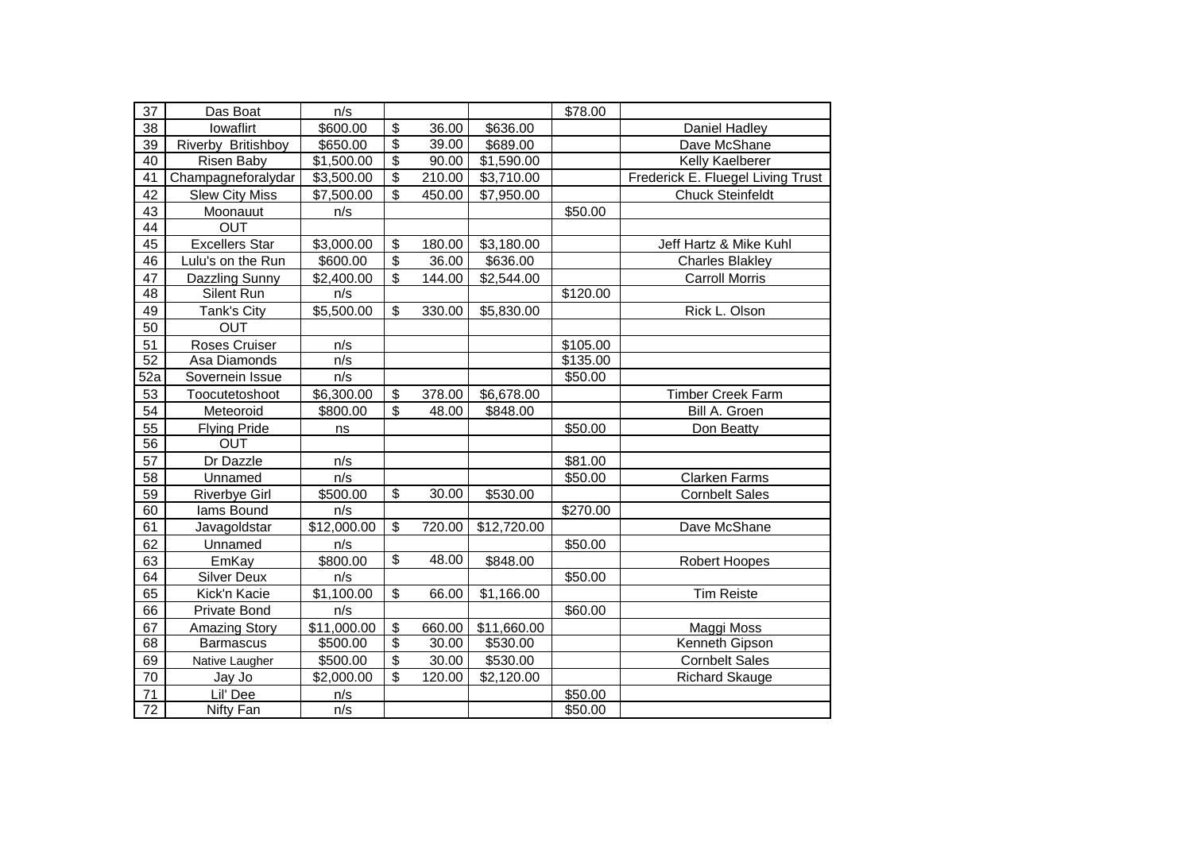| 37              | Das Boat              | n/s                     |                                      |        |                         | \$78.00  |                                   |
|-----------------|-----------------------|-------------------------|--------------------------------------|--------|-------------------------|----------|-----------------------------------|
| 38              | lowaflirt             | \$600.00                | $\mathfrak{S}$                       | 36.00  | \$636.00                |          | Daniel Hadley                     |
| 39              | Riverby Britishboy    | \$650.00                | $\overline{\mathbf{e}}$              | 39.00  | \$689.00                |          | Dave McShane                      |
| 40              | Risen Baby            | \$1,500.00              | $\overline{\boldsymbol{\mathsf{S}}}$ | 90.00  | \$1,590.00              |          | Kelly Kaelberer                   |
| 41              | Champagneforalydar    | \$3,500.00              | \$                                   | 210.00 | \$3,710.00              |          | Frederick E. Fluegel Living Trust |
| 42              | <b>Slew City Miss</b> | \$7,500.00              | $\overline{\mathbf{s}}$              | 450.00 | \$7,950.00              |          | <b>Chuck Steinfeldt</b>           |
| 43              | Moonauut              | n/s                     |                                      |        |                         | \$50.00  |                                   |
| 44              | <b>OUT</b>            |                         |                                      |        |                         |          |                                   |
| 45              | <b>Excellers Star</b> | \$3,000.00              | $\overline{\mathbf{e}}$              | 180.00 | $\overline{$3,180.00}$  |          | Jeff Hartz & Mike Kuhl            |
| 46              | Lulu's on the Run     | \$600.00                | $\overline{\mathbf{e}}$              | 36.00  | \$636.00                |          | <b>Charles Blakley</b>            |
| 47              | Dazzling Sunny        | \$2,400.00              | \$                                   | 144.00 | \$2,544.00              |          | <b>Carroll Morris</b>             |
| $\overline{48}$ | Silent Run            | n/s                     |                                      |        |                         | \$120.00 |                                   |
| 49              | Tank's City           | \$5,500.00              | \$                                   | 330.00 | \$5,830.00              |          | Rick L. Olson                     |
| 50              | <b>OUT</b>            |                         |                                      |        |                         |          |                                   |
| 51              | Roses Cruiser         | n/s                     |                                      |        |                         | \$105.00 |                                   |
| 52              | Asa Diamonds          | n/s                     |                                      |        |                         | \$135.00 |                                   |
| 52a             | Sovernein Issue       | n/s                     |                                      |        |                         | \$50.00  |                                   |
| 53              | Toocutetoshoot        | \$6,300.00              | \$                                   | 378.00 | \$6,678.00              |          | Timber Creek Farm                 |
| 54              | Meteoroid             | \$800.00                | $\boldsymbol{\mathsf{S}}$            | 48.00  | \$848.00                |          | Bill A. Groen                     |
| 55              | <b>Flying Pride</b>   | ns                      |                                      |        |                         | \$50.00  | Don Beatty                        |
| 56              | <b>OUT</b>            |                         |                                      |        |                         |          |                                   |
| 57              | Dr Dazzle             | n/s                     |                                      |        |                         | \$81.00  |                                   |
| 58              | Unnamed               | n/s                     |                                      |        |                         | \$50.00  | <b>Clarken Farms</b>              |
| 59              | <b>Riverbye Girl</b>  | \$500.00                | $\overline{\mathbf{s}}$              | 30.00  | \$530.00                |          | <b>Cornbelt Sales</b>             |
| 60              | lams Bound            | n/s                     |                                      |        |                         | \$270.00 |                                   |
| 61              | Javagoldstar          | $\overline{$12,000.00}$ | $\overline{\mathcal{S}}$             | 720.00 | $\overline{$}12,720.00$ |          | Dave McShane                      |
| 62              | Unnamed               | n/s                     |                                      |        |                         | \$50.00  |                                   |
| 63              | EmKay                 | \$800.00                | $\overline{\mathcal{S}}$             | 48.00  | \$848.00                |          | Robert Hoopes                     |
| 64              | <b>Silver Deux</b>    | n/s                     |                                      |        |                         | \$50.00  |                                   |
| 65              | Kick'n Kacie          | \$1,100.00              | $\overline{\mathcal{S}}$             | 66.00  | \$1,166.00              |          | <b>Tim Reiste</b>                 |
| 66              | Private Bond          | n/s                     |                                      |        |                         | \$60.00  |                                   |
| 67              | <b>Amazing Story</b>  | \$11,000.00             | $\sqrt[6]{\frac{1}{2}}$              | 660.00 | \$11,660.00             |          | Maggi Moss                        |
| 68              | <b>Barmascus</b>      | \$500.00                | $\overline{\mathbf{3}}$              | 30.00  | \$530.00                |          | Kenneth Gipson                    |
| 69              | Native Laugher        | \$500.00                | $\overline{\mathbf{e}}$              | 30.00  | \$530.00                |          | <b>Cornbelt Sales</b>             |
| 70              | Jay Jo                | \$2,000.00              | \$                                   | 120.00 | \$2,120.00              |          | <b>Richard Skauge</b>             |
| 71              | Lil' Dee              | n/s                     |                                      |        |                         | \$50.00  |                                   |
| $\overline{72}$ | Nifty Fan             | n/s                     |                                      |        |                         | \$50.00  |                                   |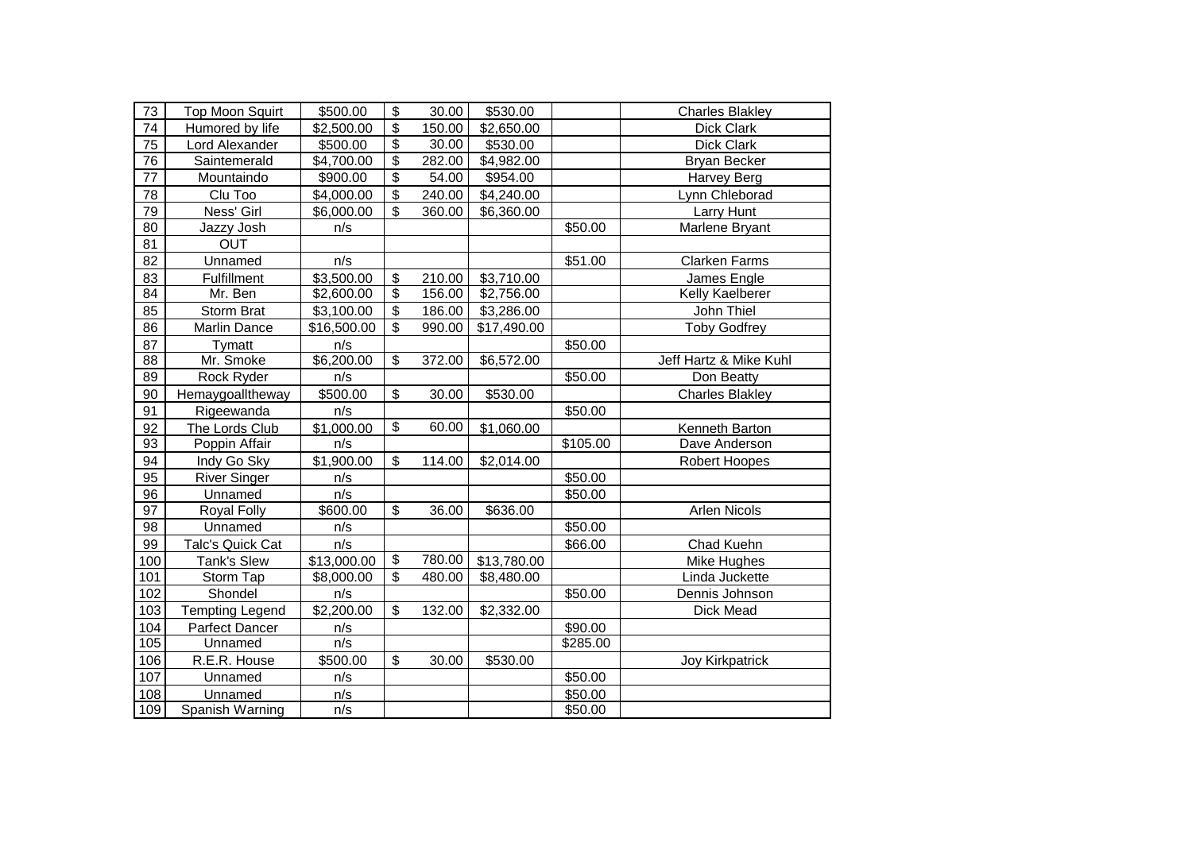| 73  | <b>Top Moon Squirt</b>  | \$500.00    | \$                       | 30.00  | \$530.00    |          | <b>Charles Blakley</b> |
|-----|-------------------------|-------------|--------------------------|--------|-------------|----------|------------------------|
| 74  | Humored by life         | \$2,500.00  | \$                       | 150.00 | \$2,650.00  |          | Dick Clark             |
| 75  | Lord Alexander          | \$500.00    | $\overline{\mathbf{e}}$  | 30.00  | \$530.00    |          | Dick Clark             |
| 76  | Saintemerald            | \$4,700.00  | $\overline{\$}$          | 282.00 | \$4,982.00  |          | <b>Bryan Becker</b>    |
| 77  | Mountaindo              | \$900.00    | $\overline{\$}$          | 54.00  | \$954.00    |          | Harvey Berg            |
| 78  | Clu Too                 | \$4,000.00  | \$                       | 240.00 | \$4,240.00  |          | Lynn Chleborad         |
| 79  | Ness' Girl              | \$6,000.00  | \$                       | 360.00 | \$6,360.00  |          | Larry Hunt             |
| 80  | Jazzy Josh              | n/s         |                          |        |             | \$50.00  | Marlene Bryant         |
| 81  | <b>OUT</b>              |             |                          |        |             |          |                        |
| 82  | Unnamed                 | n/s         |                          |        |             | \$51.00  | <b>Clarken Farms</b>   |
| 83  | Fulfillment             | \$3,500.00  | \$                       | 210.00 | \$3,710.00  |          | James Engle            |
| 84  | Mr. Ben                 | \$2,600.00  | $\overline{\mathbf{e}}$  | 156.00 | \$2,756.00  |          | Kelly Kaelberer        |
| 85  | Storm Brat              | \$3,100.00  | \$                       | 186.00 | \$3,286.00  |          | John Thiel             |
| 86  | Marlin Dance            | \$16,500.00 | \$                       | 990.00 | \$17,490.00 |          | <b>Toby Godfrey</b>    |
| 87  | Tymatt                  | n/s         |                          |        |             | \$50.00  |                        |
| 88  | Mr. Smoke               | \$6,200.00  | \$                       | 372.00 | \$6,572.00  |          | Jeff Hartz & Mike Kuhl |
| 89  | Rock Ryder              | n/s         |                          |        |             | \$50.00  | Don Beatty             |
| 90  | Hemaygoalltheway        | \$500.00    | \$                       | 30.00  | \$530.00    |          | <b>Charles Blakley</b> |
| 91  | Rigeewanda              | n/s         |                          |        |             | \$50.00  |                        |
| 92  | The Lords Club          | \$1,000.00  | \$                       | 60.00  | \$1,060.00  |          | Kenneth Barton         |
| 93  | Poppin Affair           | n/s         |                          |        |             | \$105.00 | Dave Anderson          |
| 94  | Indy Go Sky             | \$1,900.00  | \$                       | 114.00 | \$2,014.00  |          | Robert Hoopes          |
| 95  | <b>River Singer</b>     | n/s         |                          |        |             | \$50.00  |                        |
| 96  | Unnamed                 | n/s         |                          |        |             | \$50.00  |                        |
| 97  | Royal Folly             | \$600.00    | \$                       | 36.00  | \$636.00    |          | <b>Arlen Nicols</b>    |
| 98  | Unnamed                 | n/s         |                          |        |             | \$50.00  |                        |
| 99  | <b>Talc's Quick Cat</b> | n/s         |                          |        |             | \$66.00  | Chad Kuehn             |
| 100 | <b>Tank's Slew</b>      | \$13,000.00 | $\overline{\mathcal{S}}$ | 780.00 | \$13,780.00 |          | Mike Hughes            |
| 101 | Storm Tap               | \$8,000.00  | \$                       | 480.00 | \$8,480.00  |          | Linda Juckette         |
| 102 | Shondel                 | n/s         |                          |        |             | \$50.00  | Dennis Johnson         |
| 103 | <b>Tempting Legend</b>  | \$2,200.00  | \$                       | 132.00 | \$2,332.00  |          | Dick Mead              |
| 104 | <b>Parfect Dancer</b>   | n/s         |                          |        |             | \$90.00  |                        |
| 105 | Unnamed                 | n/s         |                          |        |             | \$285.00 |                        |
| 106 | R.E.R. House            | \$500.00    | \$                       | 30.00  | \$530.00    |          | <b>Joy Kirkpatrick</b> |
| 107 | Unnamed                 | n/s         |                          |        |             | \$50.00  |                        |
| 108 | Unnamed                 | n/s         |                          |        |             | \$50.00  |                        |
| 109 | Spanish Warning         | n/s         |                          |        |             | \$50.00  |                        |